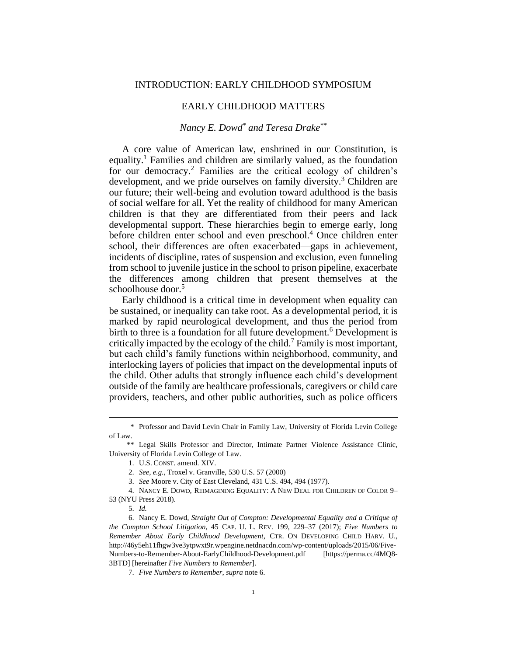# EARLY CHILDHOOD MATTERS

# *Nancy E. Dowd\* and Teresa Drake\*\**

A core value of American law, enshrined in our Constitution, is equality.<sup>1</sup> Families and children are similarly valued, as the foundation for our democracy.<sup>2</sup> Families are the critical ecology of children's development, and we pride ourselves on family diversity.<sup>3</sup> Children are our future; their well-being and evolution toward adulthood is the basis of social welfare for all. Yet the reality of childhood for many American children is that they are differentiated from their peers and lack developmental support. These hierarchies begin to emerge early, long before children enter school and even preschool.<sup>4</sup> Once children enter school, their differences are often exacerbated—gaps in achievement, incidents of discipline, rates of suspension and exclusion, even funneling from school to juvenile justice in the school to prison pipeline, exacerbate the differences among children that present themselves at the schoolhouse door.<sup>5</sup>

<span id="page-0-0"></span>Early childhood is a critical time in development when equality can be sustained, or inequality can take root. As a developmental period, it is marked by rapid neurological development, and thus the period from birth to three is a foundation for all future development.<sup>6</sup> Development is critically impacted by the ecology of the child.<sup>7</sup> Family is most important, but each child's family functions within neighborhood, community, and interlocking layers of policies that impact on the developmental inputs of the child. Other adults that strongly influence each child's development outside of the family are healthcare professionals, caregivers or child care providers, teachers, and other public authorities, such as police officers

<sup>\*</sup> Professor and David Levin Chair in Family Law, University of Florida Levin College of Law.

<sup>\*\*</sup> Legal Skills Professor and Director, Intimate Partner Violence Assistance Clinic, University of Florida Levin College of Law.

<sup>1.</sup> U.S. CONST. amend. XIV.

<sup>2.</sup> *See, e.g.*, Troxel v. Granville, 530 U.S. 57 (2000)

<sup>3.</sup> *See* Moore v. City of East Cleveland, 431 U.S. 494, 494 (1977)*.*

<sup>4.</sup> NANCY E. DOWD, REIMAGINING EQUALITY: A NEW DEAL FOR CHILDREN OF COLOR 9– 53 (NYU Press 2018).

<sup>5.</sup> *Id.*

<sup>6.</sup> Nancy E. Dowd, *Straight Out of Compton: Developmental Equality and a Critique of the Compton School Litigation*, 45 CAP. U. L. REV. 199, 229–37 (2017); *Five Numbers to Remember About Early Childhood Development*, CTR. ON DEVELOPING CHILD HARV. U., http://46y5eh11fhgw3ve3ytpwxt9r.wpengine.netdnacdn.com/wp-content/uploads/2015/06/Five-Numbers-to-Remember-About-EarlyChildhood-Development.pdf [https://perma.cc/4MQ8- 3BTD] [hereinafter *Five Numbers to Remember*].

<sup>7.</sup> *Five Numbers to Remember*, *supra* not[e 6.](#page-0-0)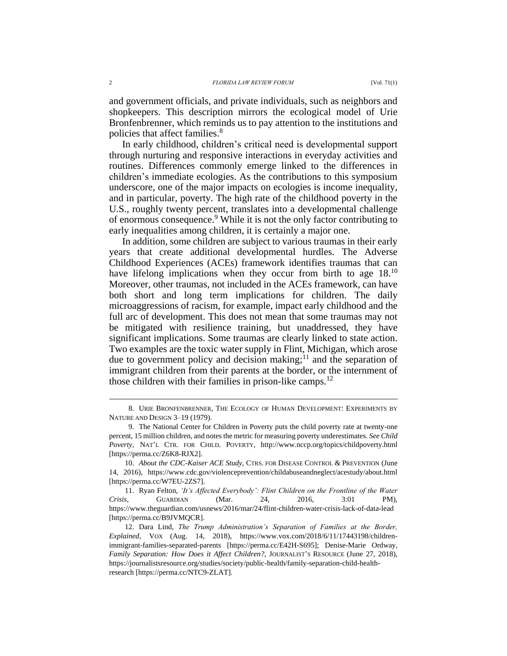and government officials, and private individuals, such as neighbors and shopkeepers. This description mirrors the ecological model of Urie Bronfenbrenner, which reminds us to pay attention to the institutions and policies that affect families.<sup>8</sup>

In early childhood, children's critical need is developmental support through nurturing and responsive interactions in everyday activities and routines. Differences commonly emerge linked to the differences in children's immediate ecologies. As the contributions to this symposium underscore, one of the major impacts on ecologies is income inequality, and in particular, poverty. The high rate of the childhood poverty in the U.S., roughly twenty percent, translates into a developmental challenge of enormous consequence.<sup>9</sup> While it is not the only factor contributing to early inequalities among children, it is certainly a major one.

In addition, some children are subject to various traumas in their early years that create additional developmental hurdles. The Adverse Childhood Experiences (ACEs) framework identifies traumas that can have lifelong implications when they occur from birth to age 18.<sup>10</sup> Moreover, other traumas, not included in the ACEs framework, can have both short and long term implications for children. The daily microaggressions of racism, for example, impact early childhood and the full arc of development. This does not mean that some traumas may not be mitigated with resilience training, but unaddressed, they have significant implications. Some traumas are clearly linked to state action. Two examples are the toxic water supply in Flint, Michigan, which arose due to government policy and decision making; $^{11}$  and the separation of immigrant children from their parents at the border, or the internment of those children with their families in prison-like camps.<sup>12</sup>

<sup>8.</sup> URIE BRONFENBRENNER, THE ECOLOGY OF HUMAN DEVELOPMENT: EXPERIMENTS BY NATURE AND DESIGN 3–19 (1979).

<sup>9.</sup> The National Center for Children in Poverty puts the child poverty rate at twenty-one percent, 15 million children, and notes the metric for measuring poverty underestimates. *See Child Poverty*, NAT'L CTR. FOR CHILD. POVERTY, <http://www.nccp.org/topics/childpoverty.html> [https://perma.cc/Z6K8-RJX2].

<sup>10.</sup> *About the CDC-Kaiser ACE Study*, CTRS. FOR DISEASE CONTROL & PREVENTION (June 14, 2016), https://www.cdc.gov/violenceprevention/childabuseandneglect/acestudy/about.html [https://perma.cc/W7EU-2ZS7].

<sup>11.</sup> Ryan Felton, *'It's Affected Everybody': Flint Children on the Frontline of the Water Crisis*, GUARDIAN (Mar. 24, 2016, 3:01 PM), https://www.theguardian.com/usnews/2016/mar/24/flint-children-water-crisis-lack-of-data-lead [https://perma.cc/B9JVMQCR].

<sup>12.</sup> Dara Lind, *The Trump Administration's Separation of Families at the Border, Explained*, VOX (Aug. 14, 2018), [https://www.vox.com/2018/6/11/17443198/children](https://www.vox.com/2018/6/11/17443198/children-immigrant-families-separated-parents)[immigrant-families-separated-parents](https://www.vox.com/2018/6/11/17443198/children-immigrant-families-separated-parents) [https://perma.cc/E42H-S695]; Denise-Marie Ordway, *Family Separation: How Does it Affect Children?*, JOURNALIST'S RESOURCE (June 27, 2018), [https://journalistsresource.org/studies/society/public-health/family-separation-child-health](https://journalistsresource.org/studies/society/public-health/family-separation-child-health-research)[research](https://journalistsresource.org/studies/society/public-health/family-separation-child-health-research) [https://perma.cc/NTC9-ZLAT].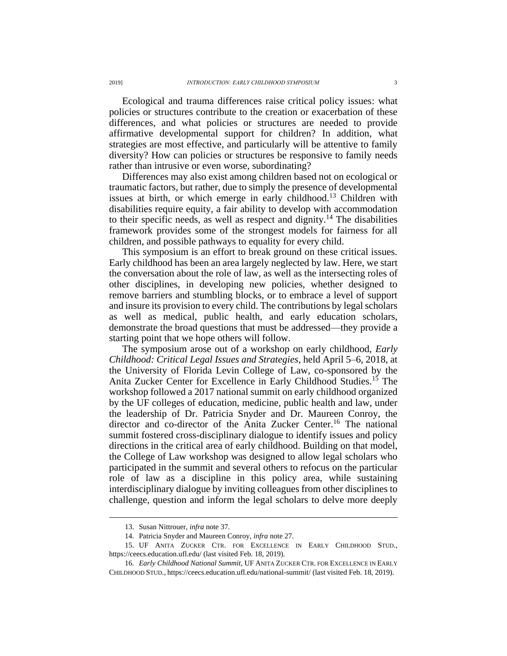Ecological and trauma differences raise critical policy issues: what policies or structures contribute to the creation or exacerbation of these differences, and what policies or structures are needed to provide affirmative developmental support for children? In addition, what strategies are most effective, and particularly will be attentive to family diversity? How can policies or structures be responsive to family needs rather than intrusive or even worse, subordinating?

Differences may also exist among children based not on ecological or traumatic factors, but rather, due to simply the presence of developmental issues at birth, or which emerge in early childhood.<sup>13</sup> Children with disabilities require equity, a fair ability to develop with accommodation to their specific needs, as well as respect and dignity.<sup>14</sup> The disabilities framework provides some of the strongest models for fairness for all children, and possible pathways to equality for every child.

This symposium is an effort to break ground on these critical issues. Early childhood has been an area largely neglected by law. Here, we start the conversation about the role of law, as well as the intersecting roles of other disciplines, in developing new policies, whether designed to remove barriers and stumbling blocks, or to embrace a level of support and insure its provision to every child. The contributions by legal scholars as well as medical, public health, and early education scholars, demonstrate the broad questions that must be addressed—they provide a starting point that we hope others will follow.

The symposium arose out of a workshop on early childhood, *Early Childhood: Critical Legal Issues and Strategies*, held April 5–6, 2018, at the University of Florida Levin College of Law, co-sponsored by the Anita Zucker Center for Excellence in Early Childhood Studies.<sup>15</sup> The workshop followed a 2017 national summit on early childhood organized by the UF colleges of education, medicine, public health and law, under the leadership of Dr. Patricia Snyder and Dr. Maureen Conroy, the director and co-director of the Anita Zucker Center.<sup>16</sup> The national summit fostered cross-disciplinary dialogue to identify issues and policy directions in the critical area of early childhood. Building on that model, the College of Law workshop was designed to allow legal scholars who participated in the summit and several others to refocus on the particular role of law as a discipline in this policy area, while sustaining interdisciplinary dialogue by inviting colleagues from other disciplines to challenge, question and inform the legal scholars to delve more deeply

<sup>13.</sup> Susan Nittrouer, *infra* not[e 37.](#page-8-0)

<sup>14.</sup> Patricia Snyder and Maureen Conroy, *infra* not[e 27.](#page-6-0)

<sup>15.</sup> UF ANITA ZUCKER CTR. FOR EXCELLENCE IN EARLY CHILDHOOD STUD., <https://ceecs.education.ufl.edu/> (last visited Feb. 18, 2019).

<sup>16.</sup> *Early Childhood National Summit*, UF ANITA ZUCKER CTR. FOR EXCELLENCE IN EARLY CHILDHOOD STUD., https://ceecs.education.ufl.edu/national-summit/ (last visited Feb. 18, 2019).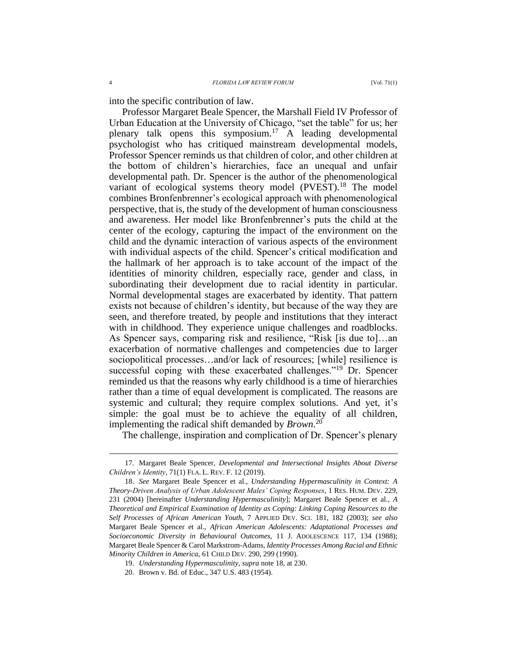into the specific contribution of law.

<span id="page-3-0"></span>Professor Margaret Beale Spencer, the Marshall Field IV Professor of Urban Education at the University of Chicago, "set the table" for us; her plenary talk opens this symposium.<sup>17</sup> A leading developmental psychologist who has critiqued mainstream developmental models, Professor Spencer reminds us that children of color, and other children at the bottom of children's hierarchies, face an unequal and unfair developmental path. Dr. Spencer is the author of the phenomenological variant of ecological systems theory model  $(PVEST)$ <sup>18</sup>. The model combines Bronfenbrenner's ecological approach with phenomenological perspective, that is, the study of the development of human consciousness and awareness. Her model like Bronfenbrenner's puts the child at the center of the ecology, capturing the impact of the environment on the child and the dynamic interaction of various aspects of the environment with individual aspects of the child. Spencer's critical modification and the hallmark of her approach is to take account of the impact of the identities of minority children, especially race, gender and class, in subordinating their development due to racial identity in particular. Normal developmental stages are exacerbated by identity. That pattern exists not because of children's identity, but because of the way they are seen, and therefore treated, by people and institutions that they interact with in childhood. They experience unique challenges and roadblocks. As Spencer says, comparing risk and resilience, "Risk [is due to]…an exacerbation of normative challenges and competencies due to larger sociopolitical processes…and/or lack of resources; [while] resilience is successful coping with these exacerbated challenges."<sup>19</sup> Dr. Spencer reminded us that the reasons why early childhood is a time of hierarchies rather than a time of equal development is complicated. The reasons are systemic and cultural; they require complex solutions. And yet, it's simple: the goal must be to achieve the equality of all children, implementing the radical shift demanded by *Brown*. 20

The challenge, inspiration and complication of Dr. Spencer's plenary

<sup>17.</sup> Margaret Beale Spencer, *Developmental and Intersectional Insights About Diverse Children's Identity*, 71(1) FLA. L. REV. F. 12 (2019).

<sup>18.</sup> *See* Margaret Beale Spencer et al., *Understanding Hypermasculinity in Context: A Theory-Driven Analysis of Urban Adolescent Males' Coping Responses*, 1 RES. HUM. DEV. 229, 231 (2004) [hereinafter *Understanding Hypermasculinity*]; Margaret Beale Spencer et al., *A Theoretical and Empirical Examination of Identity as Coping: Linking Coping Resources to the Self Processes of African American Youth*, 7 APPLIED DEV. SCI. 181, 182 (2003); *see also*  Margaret Beale Spencer et al., *African American Adolescents: Adaptational Processes and Socioeconomic Diversity in Behavioural Outcomes*, 11 J. ADOLESCENCE 117, 134 (1988); Margaret Beale Spencer & Carol Markstrom-Adams, *Identity Processes Among Racial and Ethnic Minority Children in America*, 61 CHILD DEV. 290, 299 (1990).

<sup>19.</sup> *Understanding Hypermasculinity*, *supra* note [18,](#page-3-0) at 230.

<sup>20.</sup> Brown v. Bd. of Educ., 347 U.S. 483 (1954).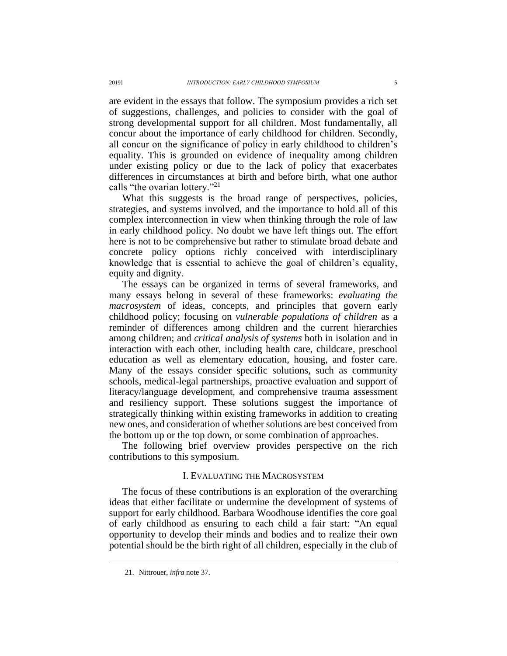are evident in the essays that follow. The symposium provides a rich set of suggestions, challenges, and policies to consider with the goal of strong developmental support for all children. Most fundamentally, all concur about the importance of early childhood for children. Secondly, all concur on the significance of policy in early childhood to children's equality. This is grounded on evidence of inequality among children under existing policy or due to the lack of policy that exacerbates differences in circumstances at birth and before birth, what one author calls "the ovarian lottery."<sup>21</sup>

What this suggests is the broad range of perspectives, policies, strategies, and systems involved, and the importance to hold all of this complex interconnection in view when thinking through the role of law in early childhood policy. No doubt we have left things out. The effort here is not to be comprehensive but rather to stimulate broad debate and concrete policy options richly conceived with interdisciplinary knowledge that is essential to achieve the goal of children's equality, equity and dignity.

The essays can be organized in terms of several frameworks, and many essays belong in several of these frameworks: *evaluating the macrosystem* of ideas, concepts, and principles that govern early childhood policy; focusing on *vulnerable populations of children* as a reminder of differences among children and the current hierarchies among children; and *critical analysis of systems* both in isolation and in interaction with each other, including health care, childcare, preschool education as well as elementary education, housing, and foster care. Many of the essays consider specific solutions, such as community schools, medical-legal partnerships, proactive evaluation and support of literacy/language development, and comprehensive trauma assessment and resiliency support. These solutions suggest the importance of strategically thinking within existing frameworks in addition to creating new ones, and consideration of whether solutions are best conceived from the bottom up or the top down, or some combination of approaches.

The following brief overview provides perspective on the rich contributions to this symposium.

## I. EVALUATING THE MACROSYSTEM

The focus of these contributions is an exploration of the overarching ideas that either facilitate or undermine the development of systems of support for early childhood. Barbara Woodhouse identifies the core goal of early childhood as ensuring to each child a fair start: "An equal opportunity to develop their minds and bodies and to realize their own potential should be the birth right of all children, especially in the club of

<sup>21.</sup> Nittrouer, *infra* not[e 37.](#page-8-0)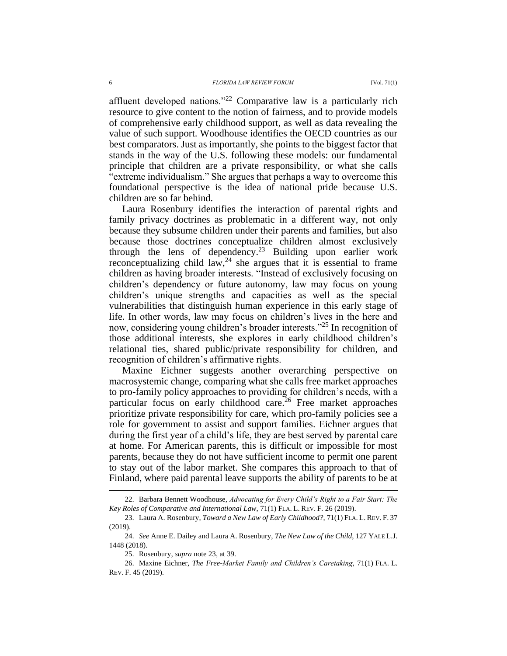affluent developed nations."<sup>22</sup> Comparative law is a particularly rich resource to give content to the notion of fairness, and to provide models of comprehensive early childhood support, as well as data revealing the value of such support. Woodhouse identifies the OECD countries as our best comparators. Just as importantly, she points to the biggest factor that stands in the way of the U.S. following these models: our fundamental principle that children are a private responsibility, or what she calls "extreme individualism." She argues that perhaps a way to overcome this foundational perspective is the idea of national pride because U.S. children are so far behind.

<span id="page-5-0"></span>Laura Rosenbury identifies the interaction of parental rights and family privacy doctrines as problematic in a different way, not only because they subsume children under their parents and families, but also because those doctrines conceptualize children almost exclusively through the lens of dependency.<sup>23</sup> Building upon earlier work reconceptualizing child law,<sup>24</sup> she argues that it is essential to frame children as having broader interests. "Instead of exclusively focusing on children's dependency or future autonomy, law may focus on young children's unique strengths and capacities as well as the special vulnerabilities that distinguish human experience in this early stage of life. In other words, law may focus on children's lives in the here and now, considering young children's broader interests."<sup>25</sup> In recognition of those additional interests, she explores in early childhood children's relational ties, shared public/private responsibility for children, and recognition of children's affirmative rights.

Maxine Eichner suggests another overarching perspective on macrosystemic change, comparing what she calls free market approaches to pro-family policy approaches to providing for children's needs, with a particular focus on early childhood care.<sup>26</sup> Free market approaches prioritize private responsibility for care, which pro-family policies see a role for government to assist and support families. Eichner argues that during the first year of a child's life, they are best served by parental care at home. For American parents, this is difficult or impossible for most parents, because they do not have sufficient income to permit one parent to stay out of the labor market. She compares this approach to that of Finland, where paid parental leave supports the ability of parents to be at

<sup>22.</sup> Barbara Bennett Woodhouse, *Advocating for Every Child's Right to a Fair Start: The Key Roles of Comparative and International Law*, 71(1) FLA. L. REV. F. 26 (2019).

<sup>23.</sup> Laura A. Rosenbury, *Toward a New Law of Early Childhood?*, 71(1) FLA. L. REV. F. 37 (2019).

<sup>24.</sup> *See* Anne E. Dailey and Laura A. Rosenbury, *The New Law of the Child*, 127 YALE L.J. 1448 (2018).

<sup>25.</sup> Rosenbury, *supra* note [23,](#page-5-0) at 39.

<sup>26.</sup> Maxine Eichner, *The Free-Market Family and Children's Caretaking*, 71(1) FLA. L. REV. F. 45 (2019).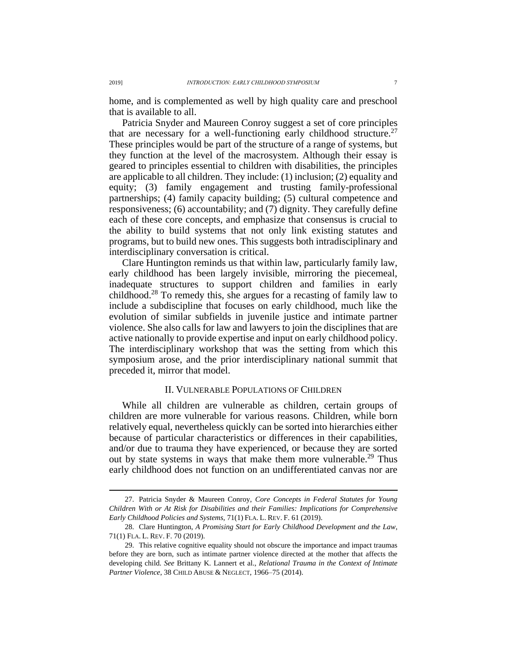home, and is complemented as well by high quality care and preschool that is available to all.

<span id="page-6-0"></span>Patricia Snyder and Maureen Conroy suggest a set of core principles that are necessary for a well-functioning early childhood structure.<sup>27</sup> These principles would be part of the structure of a range of systems, but they function at the level of the macrosystem. Although their essay is geared to principles essential to children with disabilities, the principles are applicable to all children. They include: (1) inclusion; (2) equality and equity; (3) family engagement and trusting family-professional partnerships; (4) family capacity building; (5) cultural competence and responsiveness; (6) accountability; and (7) dignity. They carefully define each of these core concepts, and emphasize that consensus is crucial to the ability to build systems that not only link existing statutes and programs, but to build new ones. This suggests both intradisciplinary and interdisciplinary conversation is critical.

Clare Huntington reminds us that within law, particularly family law, early childhood has been largely invisible, mirroring the piecemeal, inadequate structures to support children and families in early childhood.<sup>28</sup> To remedy this, she argues for a recasting of family law to include a subdiscipline that focuses on early childhood, much like the evolution of similar subfields in juvenile justice and intimate partner violence. She also calls for law and lawyers to join the disciplines that are active nationally to provide expertise and input on early childhood policy. The interdisciplinary workshop that was the setting from which this symposium arose, and the prior interdisciplinary national summit that preceded it, mirror that model.

### II. VULNERABLE POPULATIONS OF CHILDREN

While all children are vulnerable as children, certain groups of children are more vulnerable for various reasons. Children, while born relatively equal, nevertheless quickly can be sorted into hierarchies either because of particular characteristics or differences in their capabilities, and/or due to trauma they have experienced, or because they are sorted out by state systems in ways that make them more vulnerable.<sup>29</sup> Thus early childhood does not function on an undifferentiated canvas nor are

<sup>27.</sup> Patricia Snyder & Maureen Conroy, *Core Concepts in Federal Statutes for Young Children With or At Risk for Disabilities and their Families: Implications for Comprehensive Early Childhood Policies and Systems*, 71(1) FLA. L. REV. F. 61 (2019).

<sup>28.</sup> Clare Huntington, *A Promising Start for Early Childhood Development and the Law*, 71(1) FLA. L. REV. F. 70 (2019).

<sup>29.</sup> This relative cognitive equality should not obscure the importance and impact traumas before they are born, such as intimate partner violence directed at the mother that affects the developing child. *See* Brittany K. Lannert et al.*, Relational Trauma in the Context of Intimate Partner Violence*, 38 CHILD ABUSE & NEGLECT, 1966–75 (2014).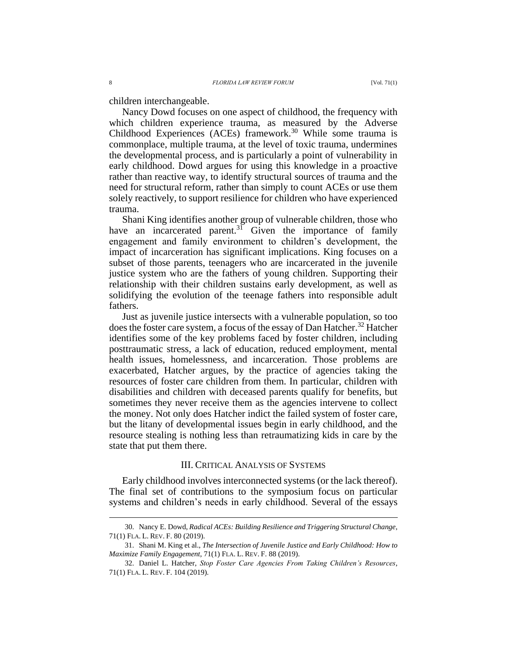children interchangeable.

Nancy Dowd focuses on one aspect of childhood, the frequency with which children experience trauma, as measured by the Adverse Childhood Experiences (ACEs) framework.<sup>30</sup> While some trauma is commonplace, multiple trauma, at the level of toxic trauma, undermines the developmental process, and is particularly a point of vulnerability in early childhood. Dowd argues for using this knowledge in a proactive rather than reactive way, to identify structural sources of trauma and the need for structural reform, rather than simply to count ACEs or use them solely reactively, to support resilience for children who have experienced trauma.

Shani King identifies another group of vulnerable children, those who have an incarcerated parent. $3\overline{1}$  Given the importance of family engagement and family environment to children's development, the impact of incarceration has significant implications. King focuses on a subset of those parents, teenagers who are incarcerated in the juvenile justice system who are the fathers of young children. Supporting their relationship with their children sustains early development, as well as solidifying the evolution of the teenage fathers into responsible adult fathers.

Just as juvenile justice intersects with a vulnerable population, so too does the foster care system, a focus of the essay of Dan Hatcher.<sup>32</sup> Hatcher identifies some of the key problems faced by foster children, including posttraumatic stress, a lack of education, reduced employment, mental health issues, homelessness, and incarceration. Those problems are exacerbated, Hatcher argues, by the practice of agencies taking the resources of foster care children from them. In particular, children with disabilities and children with deceased parents qualify for benefits, but sometimes they never receive them as the agencies intervene to collect the money. Not only does Hatcher indict the failed system of foster care, but the litany of developmental issues begin in early childhood, and the resource stealing is nothing less than retraumatizing kids in care by the state that put them there.

#### III. CRITICAL ANALYSIS OF SYSTEMS

Early childhood involves interconnected systems (or the lack thereof). The final set of contributions to the symposium focus on particular systems and children's needs in early childhood. Several of the essays

<sup>30.</sup> Nancy E. Dowd, *Radical ACEs: Building Resilience and Triggering Structural Change*, 71(1) FLA. L. REV. F. 80 (2019).

<sup>31.</sup> Shani M. King et al., *The Intersection of Juvenile Justice and Early Childhood: How to Maximize Family Engagement*, 71(1) FLA. L. REV. F. 88 (2019).

<sup>32.</sup> Daniel L. Hatcher, *Stop Foster Care Agencies From Taking Children's Resources*, 71(1) FLA. L. REV. F. 104 (2019).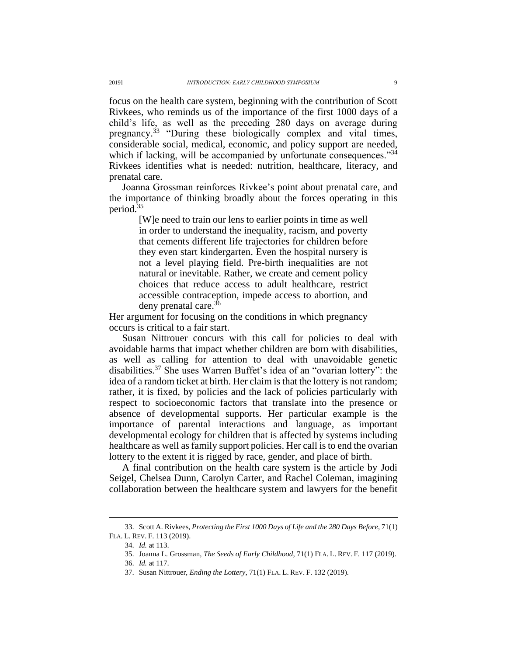focus on the health care system, beginning with the contribution of Scott Rivkees, who reminds us of the importance of the first 1000 days of a child's life, as well as the preceding 280 days on average during pregnancy.<sup>33</sup> "During these biologically complex and vital times, considerable social, medical, economic, and policy support are needed, which if lacking, will be accompanied by unfortunate consequences."<sup>34</sup> Rivkees identifies what is needed: nutrition, healthcare, literacy, and prenatal care.

Joanna Grossman reinforces Rivkee's point about prenatal care, and the importance of thinking broadly about the forces operating in this period.<sup>35</sup>

> [W]e need to train our lens to earlier points in time as well in order to understand the inequality, racism, and poverty that cements different life trajectories for children before they even start kindergarten. Even the hospital nursery is not a level playing field. Pre-birth inequalities are not natural or inevitable. Rather, we create and cement policy choices that reduce access to adult healthcare, restrict accessible contraception, impede access to abortion, and deny prenatal care.<sup>36</sup>

Her argument for focusing on the conditions in which pregnancy occurs is critical to a fair start.

<span id="page-8-0"></span>Susan Nittrouer concurs with this call for policies to deal with avoidable harms that impact whether children are born with disabilities, as well as calling for attention to deal with unavoidable genetic disabilities.<sup>37</sup> She uses Warren Buffet's idea of an "ovarian lottery": the idea of a random ticket at birth. Her claim is that the lottery is not random; rather, it is fixed, by policies and the lack of policies particularly with respect to socioeconomic factors that translate into the presence or absence of developmental supports. Her particular example is the importance of parental interactions and language, as important developmental ecology for children that is affected by systems including healthcare as well as family support policies. Her call is to end the ovarian lottery to the extent it is rigged by race, gender, and place of birth.

A final contribution on the health care system is the article by Jodi Seigel, Chelsea Dunn, Carolyn Carter, and Rachel Coleman, imagining collaboration between the healthcare system and lawyers for the benefit

<sup>33.</sup> Scott A. Rivkees, *Protecting the First 1000 Days of Life and the 280 Days Before*, 71(1) FLA. L. REV. F. 113 (2019).

<sup>34.</sup> *Id.* at 113.

<sup>35.</sup> Joanna L. Grossman, *The Seeds of Early Childhood*, 71(1) FLA. L. REV. F. 117 (2019).

<sup>36.</sup> *Id.* at 117.

<sup>37.</sup> Susan Nittrouer, *Ending the Lottery*, 71(1) FLA. L. REV. F. 132 (2019).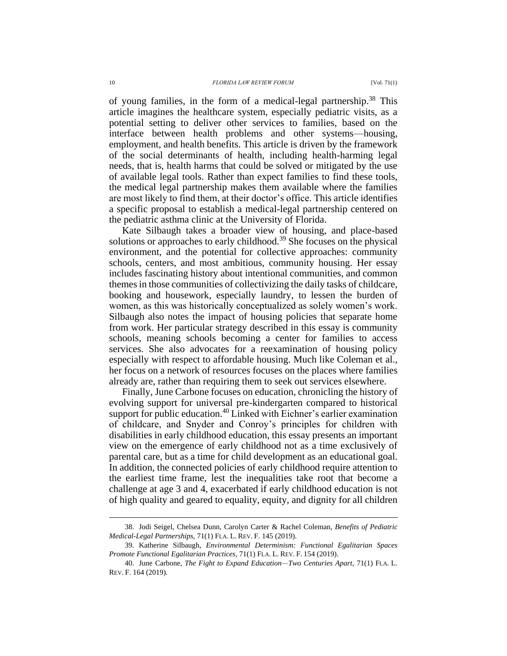of young families, in the form of a medical-legal partnership.<sup>38</sup> This article imagines the healthcare system, especially pediatric visits, as a potential setting to deliver other services to families, based on the interface between health problems and other systems—housing, employment, and health benefits. This article is driven by the framework of the social determinants of health, including health-harming legal needs, that is, health harms that could be solved or mitigated by the use of available legal tools. Rather than expect families to find these tools, the medical legal partnership makes them available where the families are most likely to find them, at their doctor's office. This article identifies a specific proposal to establish a medical-legal partnership centered on the pediatric asthma clinic at the University of Florida.

Kate Silbaugh takes a broader view of housing, and place-based solutions or approaches to early childhood.<sup>39</sup> She focuses on the physical environment, and the potential for collective approaches: community schools, centers, and most ambitious, community housing. Her essay includes fascinating history about intentional communities, and common themes in those communities of collectivizing the daily tasks of childcare, booking and housework, especially laundry, to lessen the burden of women, as this was historically conceptualized as solely women's work. Silbaugh also notes the impact of housing policies that separate home from work. Her particular strategy described in this essay is community schools, meaning schools becoming a center for families to access services. She also advocates for a reexamination of housing policy especially with respect to affordable housing. Much like Coleman et al., her focus on a network of resources focuses on the places where families already are, rather than requiring them to seek out services elsewhere.

Finally, June Carbone focuses on education, chronicling the history of evolving support for universal pre-kindergarten compared to historical support for public education.<sup>40</sup> Linked with Eichner's earlier examination of childcare, and Snyder and Conroy's principles for children with disabilities in early childhood education, this essay presents an important view on the emergence of early childhood not as a time exclusively of parental care, but as a time for child development as an educational goal. In addition, the connected policies of early childhood require attention to the earliest time frame, lest the inequalities take root that become a challenge at age 3 and 4, exacerbated if early childhood education is not of high quality and geared to equality, equity, and dignity for all children

<sup>38.</sup> Jodi Seigel, Chelsea Dunn, Carolyn Carter & Rachel Coleman, *Benefits of Pediatric Medical-Legal Partnerships*, 71(1) FLA. L. REV. F. 145 (2019).

<sup>39.</sup> Katherine Silbaugh, *Environmental Determinism: Functional Egalitarian Spaces Promote Functional Egalitarian Practices*, 71(1) FLA. L. REV. F. 154 (2019).

<sup>40.</sup> June Carbone, *The Fight to Expand Education—Two Centuries Apart*, 71(1) FLA. L. REV. F. 164 (2019).